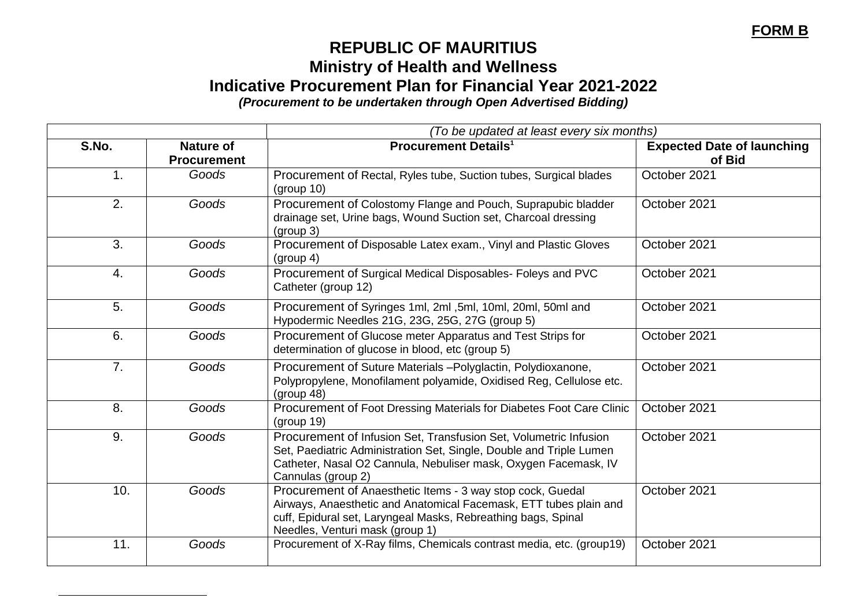## **FORM B**

## **REPUBLIC OF MAURITIUS Ministry of Health and Wellness Indicative Procurement Plan for Financial Year 2021-2022** *(Procurement to be undertaken through Open Advertised Bidding)*

*(To be updated at least every six months)* **S.No. Nature of Procurement Procurement Details<sup>1</sup> Expected Date of launching of Bid** 1. *Goods* Procurement of Rectal, Ryles tube, Suction tubes, Surgical blades (group 10) October 2021 2. **Goods** Procurement of Colostomy Flange and Pouch, Suprapubic bladder drainage set, Urine bags, Wound Suction set, Charcoal dressing (group 3) October 2021 3. *Goods* Procurement of Disposable Latex exam., Vinyl and Plastic Gloves (group 4) October 2021 4. *Goods* Procurement of Surgical Medical Disposables- Foleys and PVC Catheter (group 12) October 2021 5. *Goods* Procurement of Syringes 1ml, 2ml ,5ml, 10ml, 20ml, 50ml and Hypodermic Needles 21G, 23G, 25G, 27G (group 5) October 2021 6. *Goods* Procurement of Glucose meter Apparatus and Test Strips for determination of glucose in blood, etc (group 5) October 2021 7. *Goods* Procurement of Suture Materials –Polyglactin, Polydioxanone, Polypropylene, Monofilament polyamide, Oxidised Reg, Cellulose etc. (group 48) October 2021 8. **Goods** Procurement of Foot Dressing Materials for Diabetes Foot Care Clinic (group 19) October 2021 9. *Goods* Procurement of Infusion Set, Transfusion Set, Volumetric Infusion Set, Paediatric Administration Set, Single, Double and Triple Lumen Catheter, Nasal O2 Cannula, Nebuliser mask, Oxygen Facemask, IV Cannulas (group 2) October 2021 10. *Goods* Procurement of Anaesthetic Items - 3 way stop cock, Guedal Airways, Anaesthetic and Anatomical Facemask, ETT tubes plain and cuff, Epidural set, Laryngeal Masks, Rebreathing bags, Spinal Needles, Venturi mask (group 1) October 2021 11. **Goods** Procurement of X-Ray films, Chemicals contrast media, etc. (group19) **Corober 2021** 

l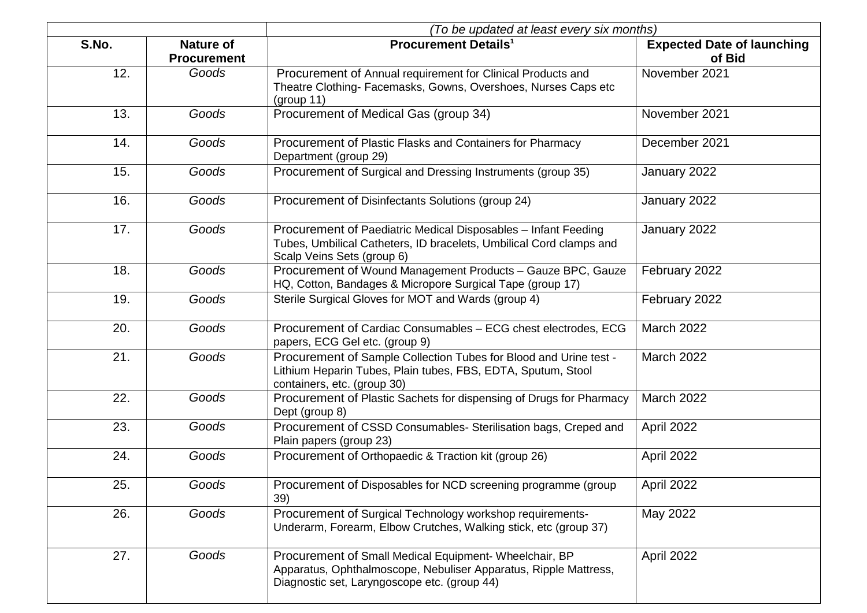|       |                                        | (To be updated at least every six months)                                                                                                                                  |                                             |
|-------|----------------------------------------|----------------------------------------------------------------------------------------------------------------------------------------------------------------------------|---------------------------------------------|
| S.No. | <b>Nature of</b><br><b>Procurement</b> | <b>Procurement Details<sup>1</sup></b>                                                                                                                                     | <b>Expected Date of launching</b><br>of Bid |
| 12.   | Goods                                  | Procurement of Annual requirement for Clinical Products and<br>Theatre Clothing- Facemasks, Gowns, Overshoes, Nurses Caps etc<br>(group 11)                                | November 2021                               |
| 13.   | Goods                                  | Procurement of Medical Gas (group 34)                                                                                                                                      | November 2021                               |
| 14.   | Goods                                  | Procurement of Plastic Flasks and Containers for Pharmacy<br>Department (group 29)                                                                                         | December 2021                               |
| 15.   | Goods                                  | Procurement of Surgical and Dressing Instruments (group 35)                                                                                                                | January 2022                                |
| 16.   | Goods                                  | Procurement of Disinfectants Solutions (group 24)                                                                                                                          | January 2022                                |
| 17.   | Goods                                  | Procurement of Paediatric Medical Disposables - Infant Feeding<br>Tubes, Umbilical Catheters, ID bracelets, Umbilical Cord clamps and<br>Scalp Veins Sets (group 6)        | January 2022                                |
| 18.   | Goods                                  | Procurement of Wound Management Products - Gauze BPC, Gauze<br>HQ, Cotton, Bandages & Micropore Surgical Tape (group 17)                                                   | February 2022                               |
| 19.   | Goods                                  | Sterile Surgical Gloves for MOT and Wards (group 4)                                                                                                                        | February 2022                               |
| 20.   | Goods                                  | Procurement of Cardiac Consumables - ECG chest electrodes, ECG<br>papers, ECG Gel etc. (group 9)                                                                           | <b>March 2022</b>                           |
| 21.   | Goods                                  | Procurement of Sample Collection Tubes for Blood and Urine test -<br>Lithium Heparin Tubes, Plain tubes, FBS, EDTA, Sputum, Stool<br>containers, etc. (group 30)           | <b>March 2022</b>                           |
| 22.   | Goods                                  | Procurement of Plastic Sachets for dispensing of Drugs for Pharmacy<br>Dept (group 8)                                                                                      | <b>March 2022</b>                           |
| 23.   | Goods                                  | Procurement of CSSD Consumables- Sterilisation bags, Creped and<br>Plain papers (group 23)                                                                                 | April 2022                                  |
| 24.   | Goods                                  | Procurement of Orthopaedic & Traction kit (group 26)                                                                                                                       | April 2022                                  |
| 25.   | Goods                                  | Procurement of Disposables for NCD screening programme (group<br>39)                                                                                                       | April 2022                                  |
| 26.   | Goods                                  | Procurement of Surgical Technology workshop requirements-<br>Underarm, Forearm, Elbow Crutches, Walking stick, etc (group 37)                                              | May 2022                                    |
| 27.   | Goods                                  | Procurement of Small Medical Equipment- Wheelchair, BP<br>Apparatus, Ophthalmoscope, Nebuliser Apparatus, Ripple Mattress,<br>Diagnostic set, Laryngoscope etc. (group 44) | April 2022                                  |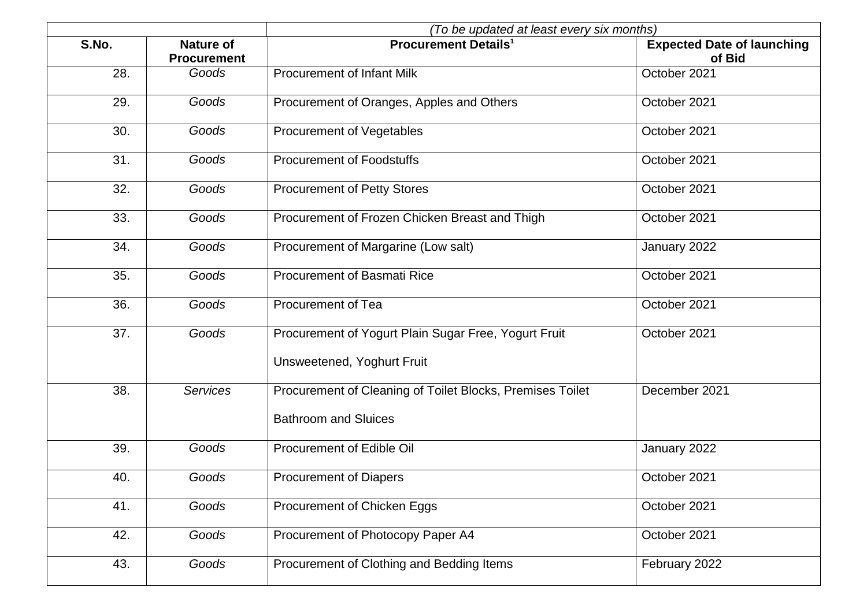|       |                                        | (To be updated at least every six months)                 |                                             |
|-------|----------------------------------------|-----------------------------------------------------------|---------------------------------------------|
| S.No. | <b>Nature of</b><br><b>Procurement</b> | <b>Procurement Details<sup>1</sup></b>                    | <b>Expected Date of launching</b><br>of Bid |
| 28.   | Goods                                  | <b>Procurement of Infant Milk</b>                         | October 2021                                |
| 29.   | Goods                                  | Procurement of Oranges, Apples and Others                 | October 2021                                |
| 30.   | Goods                                  | <b>Procurement of Vegetables</b>                          | October 2021                                |
| 31.   | Goods                                  | <b>Procurement of Foodstuffs</b>                          | October 2021                                |
| 32.   | Goods                                  | <b>Procurement of Petty Stores</b>                        | October 2021                                |
| 33.   | Goods                                  | Procurement of Frozen Chicken Breast and Thigh            | October 2021                                |
| 34.   | Goods                                  | Procurement of Margarine (Low salt)                       | January 2022                                |
| 35.   | Goods                                  | <b>Procurement of Basmati Rice</b>                        | October 2021                                |
| 36.   | Goods                                  | <b>Procurement of Tea</b>                                 | October 2021                                |
| 37.   | Goods                                  | Procurement of Yogurt Plain Sugar Free, Yogurt Fruit      | October 2021                                |
|       |                                        | Unsweetened, Yoghurt Fruit                                |                                             |
| 38.   | <b>Services</b>                        | Procurement of Cleaning of Toilet Blocks, Premises Toilet | December 2021                               |
|       |                                        | <b>Bathroom and Sluices</b>                               |                                             |
| 39.   | Goods                                  | Procurement of Edible Oil                                 | January 2022                                |
| 40.   | Goods                                  | <b>Procurement of Diapers</b>                             | October 2021                                |
| 41.   | Goods                                  | Procurement of Chicken Eggs                               | October 2021                                |
| 42.   | <b>Goods</b>                           | Procurement of Photocopy Paper A4                         | October 2021                                |
| 43.   | Goods                                  | Procurement of Clothing and Bedding Items                 | February 2022                               |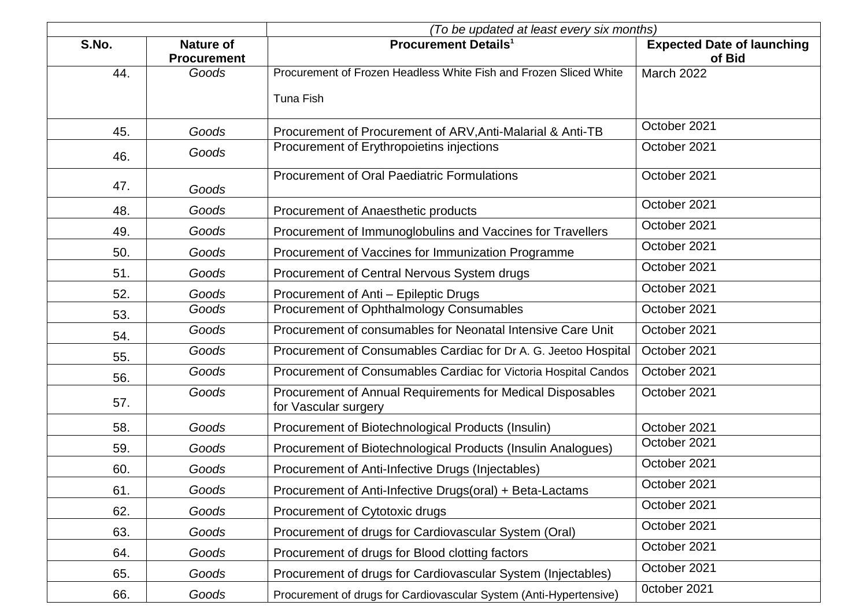|       |                                        | (To be updated at least every six months)                                          |                                             |
|-------|----------------------------------------|------------------------------------------------------------------------------------|---------------------------------------------|
| S.No. | <b>Nature of</b><br><b>Procurement</b> | <b>Procurement Details<sup>1</sup></b>                                             | <b>Expected Date of launching</b><br>of Bid |
| 44.   | Goods                                  | Procurement of Frozen Headless White Fish and Frozen Sliced White                  | <b>March 2022</b>                           |
|       |                                        | <b>Tuna Fish</b>                                                                   |                                             |
| 45.   | Goods                                  | Procurement of Procurement of ARV, Anti-Malarial & Anti-TB                         | October 2021                                |
| 46.   | Goods                                  | Procurement of Erythropoietins injections                                          | October 2021                                |
| 47.   | Goods                                  | <b>Procurement of Oral Paediatric Formulations</b>                                 | October 2021                                |
| 48.   | Goods                                  | Procurement of Anaesthetic products                                                | October 2021                                |
| 49.   | Goods                                  | Procurement of Immunoglobulins and Vaccines for Travellers                         | October 2021                                |
| 50.   | Goods                                  | Procurement of Vaccines for Immunization Programme                                 | October 2021                                |
| 51.   | Goods                                  | Procurement of Central Nervous System drugs                                        | October 2021                                |
| 52.   | Goods                                  | Procurement of Anti - Epileptic Drugs                                              | October 2021                                |
| 53.   | Goods                                  | Procurement of Ophthalmology Consumables                                           | October 2021                                |
| 54.   | Goods                                  | Procurement of consumables for Neonatal Intensive Care Unit                        | October 2021                                |
| 55.   | Goods                                  | Procurement of Consumables Cardiac for Dr A. G. Jeetoo Hospital                    | October 2021                                |
| 56.   | Goods                                  | Procurement of Consumables Cardiac for Victoria Hospital Candos                    | October 2021                                |
| 57.   | Goods                                  | Procurement of Annual Requirements for Medical Disposables<br>for Vascular surgery | October 2021                                |
| 58.   | Goods                                  | Procurement of Biotechnological Products (Insulin)                                 | October 2021                                |
| 59.   | Goods                                  | Procurement of Biotechnological Products (Insulin Analogues)                       | October 2021                                |
| 60.   | Goods                                  | Procurement of Anti-Infective Drugs (Injectables)                                  | October 2021                                |
| 61.   | Goods                                  | Procurement of Anti-Infective Drugs(oral) + Beta-Lactams                           | October 2021                                |
| 62.   | Goods                                  | Procurement of Cytotoxic drugs                                                     | October 2021                                |
| 63.   | Goods                                  | Procurement of drugs for Cardiovascular System (Oral)                              | October 2021                                |
| 64.   | Goods                                  | Procurement of drugs for Blood clotting factors                                    | October 2021                                |
| 65.   | Goods                                  | Procurement of drugs for Cardiovascular System (Injectables)                       | October 2021                                |
| 66.   | Goods                                  | Procurement of drugs for Cardiovascular System (Anti-Hypertensive)                 | October 2021                                |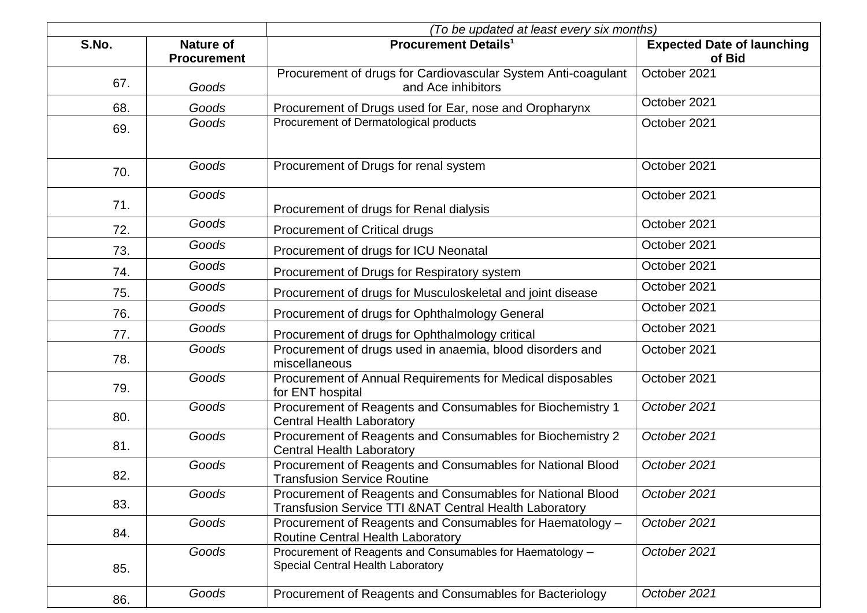|       |                                        | (To be updated at least every six months)                                                                                       |                                             |
|-------|----------------------------------------|---------------------------------------------------------------------------------------------------------------------------------|---------------------------------------------|
| S.No. | <b>Nature of</b><br><b>Procurement</b> | <b>Procurement Details<sup>1</sup></b>                                                                                          | <b>Expected Date of launching</b><br>of Bid |
| 67.   | Goods                                  | Procurement of drugs for Cardiovascular System Anti-coagulant<br>and Ace inhibitors                                             | October 2021                                |
| 68.   | Goods                                  | Procurement of Drugs used for Ear, nose and Oropharynx                                                                          | October 2021                                |
| 69.   | Goods                                  | Procurement of Dermatological products                                                                                          | October 2021                                |
| 70.   | Goods                                  | Procurement of Drugs for renal system                                                                                           | October 2021                                |
| 71.   | Goods                                  | Procurement of drugs for Renal dialysis                                                                                         | October 2021                                |
| 72.   | Goods                                  | <b>Procurement of Critical drugs</b>                                                                                            | October 2021                                |
| 73.   | Goods                                  | Procurement of drugs for ICU Neonatal                                                                                           | October 2021                                |
| 74.   | Goods                                  | Procurement of Drugs for Respiratory system                                                                                     | October 2021                                |
| 75.   | Goods                                  | Procurement of drugs for Musculoskeletal and joint disease                                                                      | October 2021                                |
| 76.   | Goods                                  | Procurement of drugs for Ophthalmology General                                                                                  | October 2021                                |
| 77.   | Goods                                  | Procurement of drugs for Ophthalmology critical                                                                                 | October 2021                                |
| 78.   | Goods                                  | Procurement of drugs used in anaemia, blood disorders and<br>miscellaneous                                                      | October 2021                                |
| 79.   | Goods                                  | Procurement of Annual Requirements for Medical disposables<br>for ENT hospital                                                  | October 2021                                |
| 80.   | Goods                                  | Procurement of Reagents and Consumables for Biochemistry 1<br><b>Central Health Laboratory</b>                                  | October 2021                                |
| 81.   | Goods                                  | Procurement of Reagents and Consumables for Biochemistry 2<br><b>Central Health Laboratory</b>                                  | October 2021                                |
| 82.   | Goods                                  | Procurement of Reagents and Consumables for National Blood<br><b>Transfusion Service Routine</b>                                | October 2021                                |
| 83.   | Goods                                  | Procurement of Reagents and Consumables for National Blood<br><b>Transfusion Service TTI &amp;NAT Central Health Laboratory</b> | October 2021                                |
| 84.   | Goods                                  | Procurement of Reagents and Consumables for Haematology -<br>Routine Central Health Laboratory                                  | October 2021                                |
| 85.   | Goods                                  | Procurement of Reagents and Consumables for Haematology -<br>Special Central Health Laboratory                                  | October 2021                                |
| 86.   | Goods                                  | Procurement of Reagents and Consumables for Bacteriology                                                                        | October 2021                                |